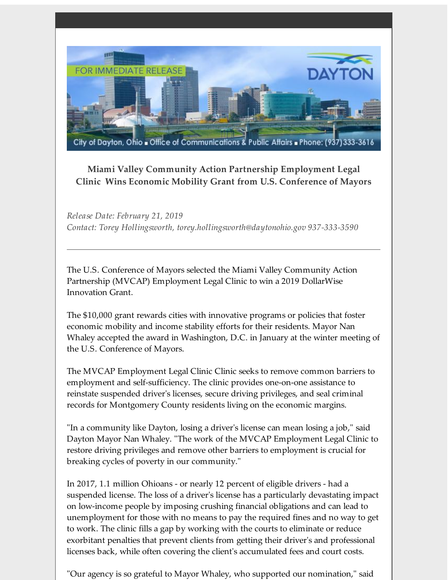

## **Miami Valley Community Action Partnership Employment Legal Clinic Wins Economic Mobility Grant from U.S. Conference of Mayors**

*Release Date: February 21, 2019 Contact: Torey Hollingsworth, torey.hollingsworth@daytonohio.gov 937-333-3590*

The U.S. Conference of Mayors selected the Miami Valley Community Action Partnership (MVCAP) Employment Legal Clinic to win a 2019 DollarWise Innovation Grant.

The \$10,000 grant rewards cities with innovative programs or policies that foster economic mobility and income stability efforts for their residents. Mayor Nan Whaley accepted the award in Washington, D.C. in January at the winter meeting of the U.S. Conference of Mayors.

The MVCAP Employment Legal Clinic Clinic seeks to remove common barriers to employment and self-sufficiency. The clinic provides one-on-one assistance to reinstate suspended driver's licenses, secure driving privileges, and seal criminal records for Montgomery County residents living on the economic margins.

"In a community like Dayton, losing a driver's license can mean losing a job," said Dayton Mayor Nan Whaley. "The work of the MVCAP Employment Legal Clinic to restore driving privileges and remove other barriers to employment is crucial for breaking cycles of poverty in our community."

In 2017, 1.1 million Ohioans - or nearly 12 percent of eligible drivers - had a suspended license. The loss of a driver's license has a particularly devastating impact on low-income people by imposing crushing financial obligations and can lead to unemployment for those with no means to pay the required fines and no way to get to work. The clinic fills a gap by working with the courts to eliminate or reduce exorbitant penalties that prevent clients from getting their driver's and professional licenses back, while often covering the client's accumulated fees and court costs.

"Our agency is so grateful to Mayor Whaley, who supported our nomination," said